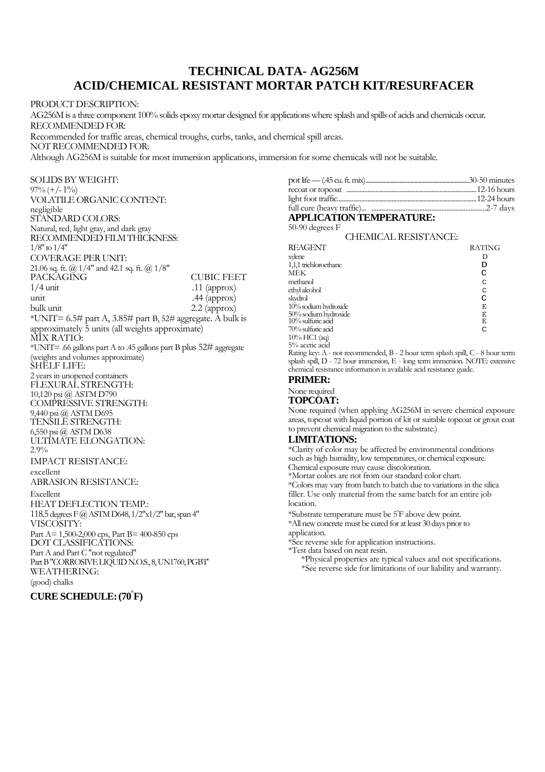## **TECHNICAL DATA- AG256M ACID/CHEMICAL RESISTANT MORTAR PATCH KIT/RESURFACER**

PRODUCT DESCRIPTION: AG256M is a three component 100% solids epoxy mortar designed for applications where splash and spills of acids and chemicals occur. RECOMMENDED FOR: Recommended for traffic areas, chemical troughs, curbs, tanks, and chemical spill areas. NOT RECOMMENDED FOR: Although AG256M is suitable for most immersion applications, immersion for some chemicals will not be suitable.

SOLIDS BY WEIGHT:  $97\% (+/-1\%)$ VOLATILE ORGANIC CONTENT: negligible STANDARD COLORS: Natural, red, light gray, and dark gray RECOMMENDED FILM THICKNESS:  $1/8"$  to  $1/4"$ COVERAGE PER UNIT: 21.06 sq. ft. @ 1/4" and 42.1 sq. ft. @ 1/8" PACKAGING CUBIC FEET<br>
1/4 unit 11 (approx)  $1/4$  unit  $11$  (approx)<br>unit  $44$  (approx) unit .44 (approx)<br>bulk unit .2.2 (approx)  $2.2$  (approx) \*UNIT= 6.5# part A, 3.85# part B, 52# aggregate. A bulk is approximately 5 units (all weights approximate) MIX RATIO: \*UNIT= .66 gallons part A to .45 gallons part B plus 52# aggregate (weights and volumes approximate) SHELF LIFE: 2 years in unopened containers FLEXURAL STRENGTH: 10,120 psi @ ASTM D790 COMPRESSIVE STRENGTH: 9,440 psi @ ASTM D695 TENSILE STRENGTH: 6,550 psi @ ASTM D638 ULTIMATE ELONGATION: 2.9% IMPACT RESISTANCE: excellent ABRASION RESISTANCE: Excellent HEAT DEFLECTION TEMP.: 118.5 degreesF@ASTMD648,1/2"x1/2" bar,span4" VISCOSITY: Part A= 1,500-2,000 cps, Part B= 400-850 cps DOT CLASSIFICATIONS: Part A and Part C "not regulated" Part B "CORROSIVE LIQUID N.O.S., 8, UN1760, PGBT WEATHERING: (good) chalks

### **CURE SCHEDULE:**.**(70°F)**

### **APPLICATION TEMPERATURE:**

| 50-90 degrees F                                                                |               |
|--------------------------------------------------------------------------------|---------------|
| CHEMICAL RESISTANCE:                                                           |               |
| REAGENT                                                                        | <b>RATING</b> |
| xylene                                                                         | D             |
| 1,1,1 trichloroethane                                                          | D             |
| MEK                                                                            | C             |
| methanol                                                                       | C             |
| ethyl alcohol                                                                  | C             |
| skydrol                                                                        | C             |
| 10% sodium hydroxide                                                           | E             |
| 50% sodium hydroxide<br>10% sulfuric acid                                      | E             |
|                                                                                | E             |
| 70% sulfuric acid                                                              | C             |
| 10% HC1 (aq)                                                                   |               |
| 5% acetic acid                                                                 |               |
| Rating key: A - not recommended, B - 2 hour term splash spill, C - 8 hour term |               |

splash spill, D - 72 hour immersion, E - long term immersion. NOTE: extensive chemical resistance information is available acid resistance guide.

#### **PRIMER:**

None required

#### **TOPCOAT:**

None required (when applying AG256M in severe chemical exposure areas, topcoat with liquid portion of kit or suitable topcoat or grout coat to prevent chemical migration to the substrate.)

#### **LIMITATIONS:**

\*Clarity of color may be affected by environmental conditions such as high humidity, low temperatures, or chemical exposure.

Chemical exposure may cause discoloration.

\*Mortar colors are not from our standard color chart.

\*Colors may vary from batch to batch due to variations in the silica filler. Use only material from the same batch for an entire job location.

\*Substrate temperature must be 5°F above dew point.

\*All new concrete must be cured for at least 30 days prior to application.

\*See reverse side for application instructions.

\*Test data based on neat resin.

\*Physical properties are typical values and not specifications. \*See reverse side for limitations of our liability and warranty.